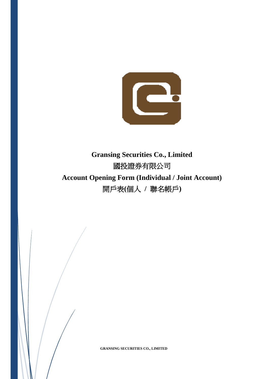

# **Gransing Securities Co., Limited** 國投證券有限公司 **Account Opening Form (Individual / Joint Account)** 開戶表**(**個人 **/** 聯名帳戶**)**



**GRANSING SECURITIES CO., LIMITED**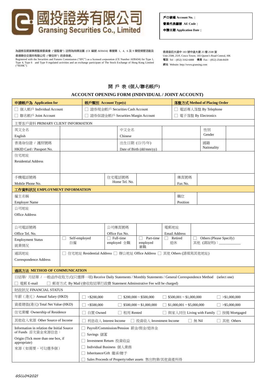

戶口號碼 **Account No.**: 營業代表編號 **AE Code**: 申請日期 **Application Date**:

為證券及期貨事務監察委員會 ("證監會") 註冊為持牌法團 (CE 編號 AER434) 專營第 1、4、6 及 9 類受規管活動及 香港聯合交易所有限公司 ("聯交所") 的參與者。

Registered with the Securities and Futures Commission ("SFC") as a licensed corporation (CE Number AER434) for Type 1,<br>Type 4, Type 6 and Type 9 regulated activities and an exchange participant of The Stock Exchange of Hon

香港皇后大道中 183 號中遠大廈 25 樓 2508 室 Unit 2508, 25/F, Cosco Tower, 183 Queen's Road Central, HK 電話 Tel:(852) 3162-6888 傳真 Fax:(852) 2544-8439 網站 Website: http://www.gransing.com

## 開 戶 表 **(**個人**/**聯名帳戶**)**

#### **ACCOUNT OPENING FORM (INDIVIDUAL / JOINT ACCOUNT)**

| 申請帳戶為 Application for                                                                                                 | 帳戶類別 Account Type(s)                                                                           |                                   |                                                                     |                          |                                                                      | 落盤方式 Method of Placing Order |                            |              |                                               |               |
|-----------------------------------------------------------------------------------------------------------------------|------------------------------------------------------------------------------------------------|-----------------------------------|---------------------------------------------------------------------|--------------------------|----------------------------------------------------------------------|------------------------------|----------------------------|--------------|-----------------------------------------------|---------------|
| □ 個人帳戶 Individual Account                                                                                             |                                                                                                | □ 證券現金帳戶 Securities Cash Account  |                                                                     |                          |                                                                      |                              | □ 電話專人落盤 By Telephone      |              |                                               |               |
| □ 聯名帳戶 Joint Account                                                                                                  |                                                                                                | 證券保證金帳戶 Securities Margin Account |                                                                     |                          |                                                                      |                              | 電子落盤 By Electronics        |              |                                               |               |
| 主要客戶資料 PRIMARY CLIENT INFORMATION                                                                                     |                                                                                                |                                   |                                                                     |                          |                                                                      |                              |                            |              |                                               |               |
| 英文全名                                                                                                                  |                                                                                                |                                   |                                                                     | 中文全名                     |                                                                      |                              |                            |              | 性別                                            |               |
| English                                                                                                               |                                                                                                |                                   |                                                                     | Chinese                  |                                                                      |                              |                            |              | Gender                                        |               |
| 香港身份證 / 護照號碼                                                                                                          |                                                                                                |                                   |                                                                     | 出生日期 (日/月/年)             |                                                                      |                              |                            |              | 國籍                                            |               |
| HKID Card / Passport No.                                                                                              |                                                                                                |                                   |                                                                     |                          | Date of Birth (dd/mm/yy)                                             |                              |                            |              | Nationality                                   |               |
| 住宅地址                                                                                                                  |                                                                                                |                                   |                                                                     |                          |                                                                      |                              |                            |              |                                               |               |
| <b>Residential Address</b>                                                                                            |                                                                                                |                                   |                                                                     |                          |                                                                      |                              |                            |              |                                               |               |
|                                                                                                                       |                                                                                                |                                   |                                                                     |                          |                                                                      |                              |                            |              |                                               |               |
| 手機電話號碼                                                                                                                |                                                                                                |                                   |                                                                     | 住宅電話號碼                   |                                                                      |                              | 傳真號碼                       |              |                                               |               |
| Mobile Phone No.                                                                                                      |                                                                                                |                                   |                                                                     | Home Tel. No.            |                                                                      |                              | Fax No.                    |              |                                               |               |
| 工作資料狀況 EMPLOYMENT INFORMATION                                                                                         |                                                                                                |                                   |                                                                     |                          |                                                                      |                              |                            |              |                                               |               |
| 僱主名稱                                                                                                                  |                                                                                                |                                   |                                                                     |                          |                                                                      |                              | 職位                         |              |                                               |               |
| <b>Employer Name</b>                                                                                                  |                                                                                                |                                   |                                                                     |                          |                                                                      |                              | Position                   |              |                                               |               |
| 公司地址                                                                                                                  |                                                                                                |                                   |                                                                     |                          |                                                                      |                              |                            |              |                                               |               |
| <b>Office Address</b>                                                                                                 |                                                                                                |                                   |                                                                     |                          |                                                                      |                              |                            |              |                                               |               |
|                                                                                                                       |                                                                                                |                                   |                                                                     |                          |                                                                      |                              |                            |              |                                               |               |
| 公司電話號碼                                                                                                                |                                                                                                |                                   |                                                                     | 公司傳真號碼                   |                                                                      | 電郵地址                         |                            |              |                                               |               |
| Office Tel. No.                                                                                                       |                                                                                                |                                   |                                                                     | Office Fax No.           |                                                                      |                              | <b>Email Address</b>       |              |                                               |               |
| <b>Employment Status</b>                                                                                              | 自僱                                                                                             | Self-employed                     |                                                                     | Full-time<br>employed 全職 | Part-time<br>employed                                                | Retired<br>退休                |                            |              | Others (Please Specify)<br>其他 (請說明):_________ |               |
| 就業情況                                                                                                                  |                                                                                                |                                   |                                                                     |                          | 兼職                                                                   |                              |                            |              |                                               |               |
| 通訊地址                                                                                                                  |                                                                                                |                                   |                                                                     |                          | 住宅地址 Residential Address □ 辦公地址 Office Address □ 其他 Others (請填寫其他地址) |                              |                            |              |                                               |               |
| Correspondence Address                                                                                                |                                                                                                |                                   |                                                                     |                          |                                                                      |                              |                            |              |                                               |               |
|                                                                                                                       |                                                                                                |                                   |                                                                     |                          |                                                                      |                              |                            |              |                                               |               |
| 通訊方法 METHOD OF COMMUNICATION                                                                                          |                                                                                                |                                   |                                                                     |                          |                                                                      |                              |                            |              |                                               |               |
| 日結單/ 月結單 / 一般函件收取方式(只選擇一項) Receive Daily Statements / Monthly Statements / General Correspondence Method (select one) |                                                                                                |                                   |                                                                     |                          |                                                                      |                              |                            |              |                                               |               |
| 電郵 E-mail                                                                                                             |                                                                                                |                                   |                                                                     |                          | 郵寄方式 By Mail (會收取結單行政費 Statement Adminstrative Fee will be charged)  |                              |                            |              |                                               |               |
| 財政狀況 FINANCIAL STATUS<br>年薪 (港元) Annual Salary (HKD)                                                                  |                                                                                                |                                   |                                                                     |                          |                                                                      |                              |                            |              |                                               |               |
|                                                                                                                       |                                                                                                |                                   | $<$ \$200,000<br>$$200,000 \sim $500,000$                           |                          |                                                                      |                              | $$500,001 \sim $1,000,000$ |              |                                               | > \$1,000,000 |
| 資產總值(港元) Total Net Value (HKD)                                                                                        | $<$ \$500,000<br>$$500,000 \sim $1,000,000$<br>$$1,000,001 \sim $5,000,000$<br>$>$ \$5,000,000 |                                   |                                                                     |                          |                                                                      |                              |                            |              |                                               |               |
| 住宅業權 Ownership of Residence                                                                                           |                                                                                                |                                   | 自置 Owned<br>租用 Rented<br>與家人同住 Living with Family □<br>按揭 Mortgaged |                          |                                                                      |                              |                            |              |                                               |               |
| 其他收入來源 Other Source of Income                                                                                         |                                                                                                | 利息收入 Interest Income              |                                                                     |                          | 投資收入 Investment Income                                               |                              |                            | $\Box$ 無 Nil |                                               | 其他 Others     |
| Information in relation the Initial Source                                                                            |                                                                                                |                                   | Payroll/Commission/Pension 薪金/佣金/退休金                                |                          |                                                                      |                              |                            |              |                                               |               |
| of Funds 首次資金來源信息:                                                                                                    |                                                                                                |                                   | Savings 儲蓄                                                          |                          |                                                                      |                              |                            |              |                                               |               |
| Origin (Tick more than one box, if<br>appropriate)                                                                    |                                                                                                | Investment Return 投資收益            |                                                                     |                          |                                                                      |                              |                            |              |                                               |               |
| 來源(如需要,可勾選多個)                                                                                                         |                                                                                                | Individual Business 個人業務          |                                                                     |                          |                                                                      |                              |                            |              |                                               |               |
|                                                                                                                       |                                                                                                | Inheritance/Gift 繼承/贈予            |                                                                     |                          |                                                                      |                              |                            |              |                                               |               |
|                                                                                                                       |                                                                                                |                                   |                                                                     |                          | Sales Proceeds of Property/other assets 售出物業/其他資產所得                  |                              |                            |              |                                               |               |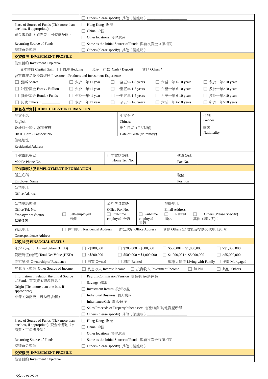|                                                                                                             |    |                                                                               |                |                                  | Others (please specify) 其他 (請註明) _____        |      |                              |  |                         |                 |
|-------------------------------------------------------------------------------------------------------------|----|-------------------------------------------------------------------------------|----------------|----------------------------------|-----------------------------------------------|------|------------------------------|--|-------------------------|-----------------|
| Place of Source of Funds (Tick more than                                                                    |    | Hong Kong 香港                                                                  |                |                                  |                                               |      |                              |  |                         |                 |
| one box, if appropriate)                                                                                    |    | China 中國                                                                      |                |                                  |                                               |      |                              |  |                         |                 |
| 資金來源地(如需要,可勾選多個)                                                                                            |    | Other locations 其他地區                                                          |                |                                  |                                               |      |                              |  |                         |                 |
| Recurring Source of Funds                                                                                   |    | Same as the Initial Source of Funds 與首次資金來源相同                                 |                |                                  |                                               |      |                              |  |                         |                 |
| 持續資金來源                                                                                                      |    | Others (please specify) 其他 (請註明)                                              |                |                                  |                                               |      |                              |  |                         |                 |
| 投資概況 INVESTMENT PROFILE                                                                                     |    |                                                                               |                |                                  |                                               |      |                              |  |                         |                 |
| 投資目的 Investment Objective                                                                                   |    |                                                                               |                |                                  |                                               |      |                              |  |                         |                 |
| □ 資本增值 Capital Gain □ 對沖 Hedging □ 現金/存款 Cash / Deposit □ 其他 Others:_________________                       |    |                                                                               |                |                                  |                                               |      |                              |  |                         |                 |
| 曾買賣產品及投資經驗 Investment Products and Investment Experience                                                    |    |                                                                               |                |                                  |                                               |      |                              |  |                         |                 |
| □ 股票 Shares                                                                                                 |    | $\Box$ 少於一年<1 year                                                            |                | $\Box$ 一至五年 1-5 years            |                                               |      | □ 六至十年 6-10 years            |  | □ 多於十年>10 years         |                 |
| □ 外匯/黃金 Forex / Bullion                                                                                     |    | □ 少於一年<1 year    □ 一至五年 1-5 years                                             |                |                                  |                                               |      | □ 六至十年 6-10 years            |  | □ 多於十年>10 years         |                 |
|                                                                                                             |    |                                                                               |                |                                  |                                               |      |                              |  |                         |                 |
| □ 債券/基金 Bonds / Funds                                                                                       |    | □ 少於一年<1 year                                                                 |                | $\Box$ 一至五年 1-5 years            |                                               |      | □ 六至十年 6-10 years            |  | □ 多於十年>10 years         |                 |
| □ 其他 Others: ___________  □ 少於一年<1 year                                                                     |    |                                                                               |                | $\Box$ 一至五年 1-5 years            |                                               |      | □ 六至十年 6-10 years            |  | □ 多於十年>10 years         |                 |
| 聯名客戶資料 JOINT CLIENT INFORMATION                                                                             |    |                                                                               |                |                                  |                                               |      |                              |  |                         |                 |
| 英文全名                                                                                                        |    |                                                                               |                | 中文全名                             |                                               |      |                              |  | 性別<br>Gender            |                 |
| English                                                                                                     |    |                                                                               |                | Chinese                          |                                               |      |                              |  |                         |                 |
| 香港身份證 / 護照號碼                                                                                                |    |                                                                               |                | 出生日期 (日/月/年)                     |                                               |      |                              |  | 國籍<br>Nationality       |                 |
| HKID Card / Passport No.                                                                                    |    |                                                                               |                |                                  | Date of Birth (dd/mm/yy)                      |      |                              |  |                         |                 |
| 住宅地址                                                                                                        |    |                                                                               |                |                                  |                                               |      |                              |  |                         |                 |
| <b>Residential Address</b>                                                                                  |    |                                                                               |                |                                  |                                               |      |                              |  |                         |                 |
| 手機電話號碼                                                                                                      |    |                                                                               |                | 住宅電話號碼                           |                                               |      | 傳真號碼                         |  |                         |                 |
| Mobile Phone No.                                                                                            |    |                                                                               |                | Home Tel. No.                    |                                               |      | Fax No.                      |  |                         |                 |
| 工作資料狀況 EMPLOYMENT INFORMATION                                                                               |    |                                                                               |                |                                  |                                               |      |                              |  |                         |                 |
| 僱主名稱                                                                                                        |    |                                                                               |                |                                  |                                               |      | 職位                           |  |                         |                 |
| <b>Employer Name</b>                                                                                        |    |                                                                               |                |                                  |                                               |      | Position                     |  |                         |                 |
| 公司地址                                                                                                        |    |                                                                               |                |                                  |                                               |      |                              |  |                         |                 |
| <b>Office Address</b>                                                                                       |    |                                                                               |                |                                  |                                               |      |                              |  |                         |                 |
| 公司電話號碼                                                                                                      |    |                                                                               |                | 公司傳真號碼                           |                                               | 電郵地址 |                              |  |                         |                 |
| Office Tel. No.                                                                                             |    |                                                                               | Office Fax No. |                                  |                                               |      | <b>Email Address</b>         |  |                         |                 |
| <b>Employment Status</b>                                                                                    |    | Self-employed                                                                 | Full-time      |                                  | Part-time                                     |      | Retired                      |  | Others (Please Specify) |                 |
| 就業情況                                                                                                        | 自僱 |                                                                               |                | employed 全職                      | employed<br>兼職                                | 退休   |                              |  | 其他 (請說明): __________    |                 |
|                                                                                                             |    |                                                                               |                |                                  |                                               |      |                              |  |                         |                 |
| 通訊地址<br>住宅地址 Residential Address □ 辦公地址 Office Address □ 其他 Others (請填寫及提供其他地址證明)<br>Correspondence Address |    |                                                                               |                |                                  |                                               |      |                              |  |                         |                 |
| 財政狀況 FINANCIAL STATUS                                                                                       |    |                                                                               |                |                                  |                                               |      |                              |  |                         |                 |
| 年薪 (港元) Annual Salary (HKD)                                                                                 |    | $<$ \$200,000                                                                 |                |                                  | $$200,000 \sim $500,000$                      |      | $$500,001 \sim $1,000,000$   |  |                         | > \$1,000,000   |
| 資產總值(港元) Total Net Value (HKD)                                                                              |    | $<$ \$500,000                                                                 |                |                                  | $$500,000 \sim $1,000,000$                    |      | $$1,000,001 \sim $5,000,000$ |  |                         | $>$ \$5,000,000 |
| 住宅業權 Ownership of Residence                                                                                 |    | 自置 Owned<br>租用 Rented<br>與家人同住 Living with Family □<br>按揭 Mortgaged           |                |                                  |                                               |      |                              |  |                         |                 |
| 其他收入來源 Other Source of Income                                                                               |    | $\Box$ 無 Nil<br>其他 Others<br>利息收入 Interest Income<br>□ 投資收入 Investment Income |                |                                  |                                               |      |                              |  |                         |                 |
|                                                                                                             |    |                                                                               |                |                                  |                                               |      |                              |  |                         |                 |
| Information in relation the Initial Source<br>of Funds 首次資金來源信息:                                            |    | Payroll/Commission/Pension 薪金/佣金/退休金                                          |                |                                  |                                               |      |                              |  |                         |                 |
| Origin (Tick more than one box, if                                                                          |    | Savings 儲蓄                                                                    |                |                                  |                                               |      |                              |  |                         |                 |
| appropriate)                                                                                                |    | Investment Return 投資收益                                                        |                |                                  |                                               |      |                              |  |                         |                 |
| 來源(如需要,可勾選多個)                                                                                               |    | Individual Business 個人業務                                                      |                |                                  |                                               |      |                              |  |                         |                 |
|                                                                                                             |    | Inheritance/Gift 繼承/贈予                                                        |                |                                  |                                               |      |                              |  |                         |                 |
|                                                                                                             |    | Sales Proceeds of Property/other assets 售出物業/其他資產所得                           |                |                                  |                                               |      |                              |  |                         |                 |
|                                                                                                             |    |                                                                               |                | Others (please specify) 其他 (請註明) |                                               |      |                              |  |                         |                 |
| Place of Source of Funds (Tick more than<br>one box, if appropriate) 資金來源地 (如                               |    | Hong Kong 香港                                                                  |                |                                  |                                               |      |                              |  |                         |                 |
| 需要,可勾選多個)                                                                                                   |    | China 中國                                                                      |                |                                  |                                               |      |                              |  |                         |                 |
|                                                                                                             |    | Other locations 其他地區                                                          |                |                                  |                                               |      |                              |  |                         |                 |
| Recurring Source of Funds                                                                                   |    |                                                                               |                |                                  | Same as the Initial Source of Funds 與首次資金來源相同 |      |                              |  |                         |                 |
| 持續資金來源                                                                                                      |    |                                                                               |                | Others (please specify) 其他 (請註明) |                                               |      |                              |  |                         |                 |
| 投資概況 INVESTMENT PROFILE                                                                                     |    |                                                                               |                |                                  |                                               |      |                              |  |                         |                 |
| 投資目的 Investment Objective                                                                                   |    |                                                                               |                |                                  |                                               |      |                              |  |                         |                 |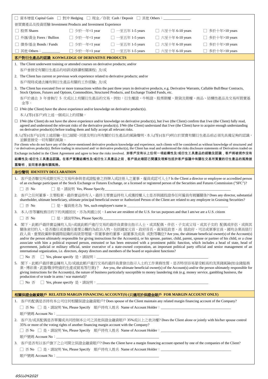|    | 資本增值 Capital Gain □ 對沖 Hedging □ 現金/存款 Cash / Deposit □ 其他 Others : ____________                                                                                                                                                                                          |                             |                                                       |                                                                                                                                                              |                                                                                                                                                                                                                                                                                                                                                                                                                                                                                                                                                                                                                                                                                                                                                           |
|----|---------------------------------------------------------------------------------------------------------------------------------------------------------------------------------------------------------------------------------------------------------------------------|-----------------------------|-------------------------------------------------------|--------------------------------------------------------------------------------------------------------------------------------------------------------------|-----------------------------------------------------------------------------------------------------------------------------------------------------------------------------------------------------------------------------------------------------------------------------------------------------------------------------------------------------------------------------------------------------------------------------------------------------------------------------------------------------------------------------------------------------------------------------------------------------------------------------------------------------------------------------------------------------------------------------------------------------------|
|    | 曾買賣產品及投資經驗 Investment Products and Investment Experience                                                                                                                                                                                                                  |                             |                                                       |                                                                                                                                                              |                                                                                                                                                                                                                                                                                                                                                                                                                                                                                                                                                                                                                                                                                                                                                           |
|    | 股票 Shares                                                                                                                                                                                                                                                                 | □ 少於一年<1 year               | $\Box$ 一至五年 1-5 years                                 | □ 六至十年 6-10 years                                                                                                                                            | 多於十年>10 years                                                                                                                                                                                                                                                                                                                                                                                                                                                                                                                                                                                                                                                                                                                                             |
|    | □ 外匯/黃金 Forex / Bullion                                                                                                                                                                                                                                                   | □ 少於一年<1 year               | 一至五年 1-5 years                                        | 六至十年 6-10 years                                                                                                                                              | 多於十年>10 years                                                                                                                                                                                                                                                                                                                                                                                                                                                                                                                                                                                                                                                                                                                                             |
|    | 債券/基金 Bonds / Funds                                                                                                                                                                                                                                                       | □ 少於一年<1 year               | 一至五年 1-5 years                                        | 六至十年 6-10 years                                                                                                                                              | 多於十年>10 years                                                                                                                                                                                                                                                                                                                                                                                                                                                                                                                                                                                                                                                                                                                                             |
|    | 其他 Others:____                                                                                                                                                                                                                                                            | 少於一年<1 year                 | 一至五年 1-5 years                                        | 六至十年 6-10 years                                                                                                                                              | 多於十年>10 years                                                                                                                                                                                                                                                                                                                                                                                                                                                                                                                                                                                                                                                                                                                                             |
|    | 客戶對衍生產品的認識 KONWLEDGE OF DERIVATIVE PRODUCTS                                                                                                                                                                                                                               |                             |                                                       |                                                                                                                                                              |                                                                                                                                                                                                                                                                                                                                                                                                                                                                                                                                                                                                                                                                                                                                                           |
|    | 1. The Client underwent training or attended courses on derivative products; and/or                                                                                                                                                                                       |                             |                                                       |                                                                                                                                                              |                                                                                                                                                                                                                                                                                                                                                                                                                                                                                                                                                                                                                                                                                                                                                           |
|    | 客戶曾接受有關衍生產品的培訓或修讀相關課程;及/或                                                                                                                                                                                                                                                 |                             |                                                       |                                                                                                                                                              |                                                                                                                                                                                                                                                                                                                                                                                                                                                                                                                                                                                                                                                                                                                                                           |
|    | 2. The Client has current or previous work experience related to derivative products; and/or<br>客戶現時或過去擁有與衍生產品有關的工作經驗; 及/或                                                                                                                                                |                             |                                                       |                                                                                                                                                              |                                                                                                                                                                                                                                                                                                                                                                                                                                                                                                                                                                                                                                                                                                                                                           |
|    | 3. The Client has executed five or more transactions within the past three years in derivative products, e.g. Derivative Warrants, Callable Bull/Bear Contracts,<br>Stock Options, Futures and Options, Commodities, Structured Products, and Exchange Traded Funds, etc. |                             |                                                       |                                                                                                                                                              |                                                                                                                                                                                                                                                                                                                                                                                                                                                                                                                                                                                                                                                                                                                                                           |
|    | 金等。                                                                                                                                                                                                                                                                       |                             |                                                       |                                                                                                                                                              | 客戶於過去 3 年曾執行 5 次或以上有關衍生產品的交易,例如:衍生權證、牛熊證、股票期權、期貨及期權、商品、結構性產品及交易所買賣基                                                                                                                                                                                                                                                                                                                                                                                                                                                                                                                                                                                                                                                                                       |
|    | $\Box$ I/We (the Client) have the above experience and/or knowledge on derivative product(s).                                                                                                                                                                             |                             |                                                       |                                                                                                                                                              |                                                                                                                                                                                                                                                                                                                                                                                                                                                                                                                                                                                                                                                                                                                                                           |
|    | 本人(等)(客戶)有上述一個或以上的經驗。                                                                                                                                                                                                                                                     |                             |                                                       |                                                                                                                                                              |                                                                                                                                                                                                                                                                                                                                                                                                                                                                                                                                                                                                                                                                                                                                                           |
|    | on derivative product(s) before trading them and fully accept all relevant risks.                                                                                                                                                                                         |                             |                                                       |                                                                                                                                                              | $\Box$ I/We (the Client) do not have the above experience and/or knowledge on derivative product(s), but I/we (the Client) confirm that I/we (the Client) fully read,<br>agreed and understood the relevant risks of the derivative product(s). I/We (the Client) understand that I/we (the Client) have to acquire enough understanding                                                                                                                                                                                                                                                                                                                                                                                                                  |
|    |                                                                                                                                                                                                                                                                           |                             |                                                       |                                                                                                                                                              | 本人(等)(客戶)沒有上述經驗,但已細閱、同意及明白所有關於衍生產品的風險聲明,本人(等)(客戶)明白於買賣有關衍生產品前必須先具備足夠的認識,                                                                                                                                                                                                                                                                                                                                                                                                                                                                                                                                                                                                                                                                                  |
|    | 並願意接受一切有關的風險。                                                                                                                                                                                                                                                             |                             |                                                       |                                                                                                                                                              | For clients who do not have any of the above-mentioned derivative products knowledge and experience, such clients will be considered as without knowledge of structured and                                                                                                                                                                                                                                                                                                                                                                                                                                                                                                                                                                               |
|    |                                                                                                                                                                                                                                                                           |                             |                                                       |                                                                                                                                                              | / or derivatives product(s). Before trading in structured and/ or derivative product(s), the Client has read and understood the risks disclosure statements of Derivatives traded on                                                                                                                                                                                                                                                                                                                                                                                                                                                                                                                                                                      |
|    |                                                                                                                                                                                                                                                                           |                             |                                                       |                                                                                                                                                              | Exchange included in the Client Agreement and agree to bear the risks involved. 如客戶沒有以上任何一項結構性及/或衍生工具產品的經驗及認識,客戶將被視作沒有<br>結構性及/或衍生工具產品認識。在客戶買賣結構性及/或衍生工具產品之前,客戶就此確認已閱讀及理解包括於客戶協議中有關在交易所買賣的衍生產品的風險披                                                                                                                                                                                                                                                                                                                                                                                                                                                                                                                                                        |
|    | 露聲明,並同意承擔有關風險。                                                                                                                                                                                                                                                            |                             |                                                       |                                                                                                                                                              |                                                                                                                                                                                                                                                                                                                                                                                                                                                                                                                                                                                                                                                                                                                                                           |
|    | 身份聲明 IDENTITY DECLARATION                                                                                                                                                                                                                                                 |                             |                                                       |                                                                                                                                                              |                                                                                                                                                                                                                                                                                                                                                                                                                                                                                                                                                                                                                                                                                                                                                           |
|    |                                                                                                                                                                                                                                                                           |                             |                                                       |                                                                                                                                                              | 1. 客戶是否聯交所或期交所之交易所參與者或證監會之持牌人或註冊人之董事、僱員或認可人士? Is the Client a director or employee or accredited person                                                                                                                                                                                                                                                                                                                                                                                                                                                                                                                                                                                                                                                   |
|    |                                                                                                                                                                                                                                                                           |                             |                                                       |                                                                                                                                                              |                                                                                                                                                                                                                                                                                                                                                                                                                                                                                                                                                                                                                                                                                                                                                           |
|    | of an exchange participant of the Stock Exchange or Futures Exchange, or a licensed or registered person of the Securities and Futures Commission ("SFC")?<br>$\Box$ $\overline{\Delta}$ No                                                                               |                             | □ 是,請說明 Yes, Please Specify__________________________ |                                                                                                                                                              |                                                                                                                                                                                                                                                                                                                                                                                                                                                                                                                                                                                                                                                                                                                                                           |
| 2. |                                                                                                                                                                                                                                                                           |                             |                                                       |                                                                                                                                                              | 客戶之任何董事、主要股東、最終實益持有人、最終主要實益持有人或獲授權人士是否與國投證券任何僱員有親屬關係? Does any director, substantial<br>shareholder, ultimate beneficiary, ultimate principal beneficial owner or Authorized Person of the Client are related to any employee in Gransing Securities?                                                                                                                                                                                                                                                                                                                                                                                                                                                                                                     |
|    | $\Box$ 否 No                                                                                                                                                                                                                                                               |                             |                                                       |                                                                                                                                                              |                                                                                                                                                                                                                                                                                                                                                                                                                                                                                                                                                                                                                                                                                                                                                           |
|    | 3. 本人/吾等屬稅務目的下的美國居民,亦為美國公民。I am/we are resident of the U.S. for tax purposes and that I am/we are a U.S. citizen                                                                                                                                                          |                             |                                                       |                                                                                                                                                              |                                                                                                                                                                                                                                                                                                                                                                                                                                                                                                                                                                                                                                                                                                                                                           |
|    | $\Box$ $\triangleq$ No                                                                                                                                                                                                                                                    | □ 是,請說明Yes, Please Specify_ |                                                       |                                                                                                                                                              |                                                                                                                                                                                                                                                                                                                                                                                                                                                                                                                                                                                                                                                                                                                                                           |
|    | international organization, i.e. directors, deputy directors and members of the board or equivalent functions?                                                                                                                                                            |                             |                                                       |                                                                                                                                                              | 4. 閣下,此帳戶最終實益擁有人及/-或就此帳戶進行交易的最終負責發出指示人士,或其配偶、伴侶、子女或父母,或其子女的 配偶或伴侶,或與其<br>關係密切的人,是否擔任或曾擔任重要公職的為政治人物,包括國家元首、政府首長、資深從政者、高 級政府、司法或軍事官員、國有企業高級行<br>政人員、重要政黨幹事國際組織的高級管理層,即董事會的董事、副董事及成員 或對等職位? Are you, the ultimate beneficial owner(s) of the Account(s)<br>and/or the person ultimately responsible for giving instructions for the Account(s), or his spouse, partner, child, parent, spouse or partner of his child, or a close<br>associate with him a political exposed person, entrusted or has been entrusted with a prominent public function, which includes a head of state, head of<br>government, judicial or military official, senior executive of a state-owned corporation, an important political party official and senior management of an |
|    |                                                                                                                                                                                                                                                                           |                             |                                                       |                                                                                                                                                              |                                                                                                                                                                                                                                                                                                                                                                                                                                                                                                                                                                                                                                                                                                                                                           |
|    |                                                                                                                                                                                                                                                                           |                             |                                                       | giving instructions for the Account(s), the nature of business particularly susceptible to money laundering risk (e.g. money service, gambling business, the | 5. 閣下、此帳戶最終實益擁有人及/或就此帳戶進行交易的最終負責發出指示人士的工作業務性質,是否特別容易蒙受較高的洗黑錢風險(如金錢服務<br>業、博彩業、武器/戰爭物資的生產或貿易等行業)? Are you, the ultimate beneficial owner(s) of the Account(s) and/or the person ultimately responsible for                                                                                                                                                                                                                                                                                                                                                                                                                                                                                                                                                 |
|    | production of or trade in arms / war material)?                                                                                                                                                                                                                           |                             |                                                       |                                                                                                                                                              |                                                                                                                                                                                                                                                                                                                                                                                                                                                                                                                                                                                                                                                                                                                                                           |
|    |                                                                                                                                                                                                                                                                           |                             |                                                       |                                                                                                                                                              |                                                                                                                                                                                                                                                                                                                                                                                                                                                                                                                                                                                                                                                                                                                                                           |
|    | 相關保證金融資賬戶 RELATED MARGIN FINANCING ACCOUNT(S) (只適用於保證金賬戶 FOR MARGIN ACCOUNT ONLY)                                                                                                                                                                                         |                             |                                                       |                                                                                                                                                              |                                                                                                                                                                                                                                                                                                                                                                                                                                                                                                                                                                                                                                                                                                                                                           |
|    | 1. 客戶的配偶是否持有本公司任何相關保證金融資賬戶? Does spouse of the Client maintain any related margin financing account of the Company?                                                                                                                                                       |                             |                                                       |                                                                                                                                                              |                                                                                                                                                                                                                                                                                                                                                                                                                                                                                                                                                                                                                                                                                                                                                           |
|    |                                                                                                                                                                                                                                                                           |                             |                                                       |                                                                                                                                                              |                                                                                                                                                                                                                                                                                                                                                                                                                                                                                                                                                                                                                                                                                                                                                           |
|    |                                                                                                                                                                                                                                                                           |                             |                                                       |                                                                                                                                                              |                                                                                                                                                                                                                                                                                                                                                                                                                                                                                                                                                                                                                                                                                                                                                           |
|    | 35% or more of the voting rights of another financing margin account with the Company?                                                                                                                                                                                    |                             |                                                       |                                                                                                                                                              | 2. 客戶及/或其配偶是否單獨或共同控制本公司之其他保證金融資賬戶 35%或以上之表決權? Does the Client alone or jointly with his/her spouse control                                                                                                                                                                                                                                                                                                                                                                                                                                                                                                                                                                                                                                                |
|    |                                                                                                                                                                                                                                                                           |                             |                                                       | □ 否 No □ 是,請說明 Yes, Please Specify 賬戶持有人姓名 Name of Account Holder:_________________________________                                                          |                                                                                                                                                                                                                                                                                                                                                                                                                                                                                                                                                                                                                                                                                                                                                           |
|    |                                                                                                                                                                                                                                                                           |                             |                                                       |                                                                                                                                                              |                                                                                                                                                                                                                                                                                                                                                                                                                                                                                                                                                                                                                                                                                                                                                           |
|    | 3. 客戶是否有以客戶旗下之公司開立保證金融資賬戶? Does the Client have a margin financing account opened by one of the companies of the Client?                                                                                                                                                  |                             |                                                       | □ 否 No □ 是,請說明 Yes, Please Specify 賬戶持有人姓名 Name of Account Holder:_________________________________                                                          |                                                                                                                                                                                                                                                                                                                                                                                                                                                                                                                                                                                                                                                                                                                                                           |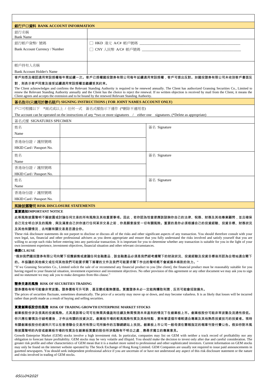| 銀行戶口資料 BANK ACCOUNT INFORMATION   |                                                                                                                                                                                                                                                                                                                                                                                                                                                                                                                                          |
|-----------------------------------|------------------------------------------------------------------------------------------------------------------------------------------------------------------------------------------------------------------------------------------------------------------------------------------------------------------------------------------------------------------------------------------------------------------------------------------------------------------------------------------------------------------------------------------|
| 銀行名稱<br><b>Bank Name</b>          |                                                                                                                                                                                                                                                                                                                                                                                                                                                                                                                                          |
| 銀行帳戶貨幣/號碼                         | □ HKD 港元 A/C# 帳戶號碼 ____________________                                                                                                                                                                                                                                                                                                                                                                                                                                                                                                  |
| Bank Account Currency / Number    |                                                                                                                                                                                                                                                                                                                                                                                                                                                                                                                                          |
|                                   |                                                                                                                                                                                                                                                                                                                                                                                                                                                                                                                                          |
| 帳戶持有人名稱                           |                                                                                                                                                                                                                                                                                                                                                                                                                                                                                                                                          |
| <b>Bank Account Holder's Name</b> |                                                                                                                                                                                                                                                                                                                                                                                                                                                                                                                                          |
| 對,則表示客戶同意及接受延續適用常設授權並繼續受其約束。      | 客戶知悉及確認適用常設授權每年需延續一次。客戶已授權國投證劵有限公司每年延續適用常設授權,客戶可提出反對。如國投證劵有限公司未收到客戶書面反<br>The Client acknowledges and confirms the Relevant Standing Authority is required to be renewed annually. The Client has authorized Gransing Securities Co., Limited to<br>renew the Relevant Standing Authority annually and the Client has the choice to reject the renewal. If no written objection is received by mail from the Client, it means the<br>Client agrees and accepts the extension and to be bound by the renewed Relevant Standing Authority. |
|                                   | 簽名指示(只適用於聯名賬戶) SIGNING INSTRUCTIONS ( FOR JOINT NAMES ACCOUNT ONLY)                                                                                                                                                                                                                                                                                                                                                                                                                                                                      |
|                                   | 戶口可根據以下 *兩式或以上 / 任何一式 簽名式樣指示下運作 (*刪除不適用者)                                                                                                                                                                                                                                                                                                                                                                                                                                                                                                |
|                                   | The account can be operated on the instructions of any *two or more signatures / either one signatures. (*Delete as appropriate)                                                                                                                                                                                                                                                                                                                                                                                                         |
| 簽名式樣 SIGNATURES SPECIMEN          |                                                                                                                                                                                                                                                                                                                                                                                                                                                                                                                                          |
| 姓名                                | 簽名 Signature                                                                                                                                                                                                                                                                                                                                                                                                                                                                                                                             |
| Name                              |                                                                                                                                                                                                                                                                                                                                                                                                                                                                                                                                          |
| 香港身份證 / 護照號碼                      |                                                                                                                                                                                                                                                                                                                                                                                                                                                                                                                                          |
| HKID Card / Passport No.          |                                                                                                                                                                                                                                                                                                                                                                                                                                                                                                                                          |
| 姓名                                | 簽名 Signature                                                                                                                                                                                                                                                                                                                                                                                                                                                                                                                             |
| Name                              |                                                                                                                                                                                                                                                                                                                                                                                                                                                                                                                                          |
| 香港身份證 / 護照號碼                      |                                                                                                                                                                                                                                                                                                                                                                                                                                                                                                                                          |
| HKID Card / Passport No.          |                                                                                                                                                                                                                                                                                                                                                                                                                                                                                                                                          |
| 姓名                                | 簽名 Signature                                                                                                                                                                                                                                                                                                                                                                                                                                                                                                                             |
| Name                              |                                                                                                                                                                                                                                                                                                                                                                                                                                                                                                                                          |
| 香港身份證 / 護照號碼                      |                                                                                                                                                                                                                                                                                                                                                                                                                                                                                                                                          |
| HKID Card / Passport No.          |                                                                                                                                                                                                                                                                                                                                                                                                                                                                                                                                          |
| 風險披露聲明 RISK DISCLOSURE STATEMENTS |                                                                                                                                                                                                                                                                                                                                                                                                                                                                                                                                          |

#### 重要通知**IMPORTANT NOTICE**

此等風險披露聲明不擬披露或討論任何交易的所有風險及其他重要事項。因此,若你認為恰當便應該諮詢你自己的法律、稅務、財務及其他專業顧問,並且確保 自己完全明白涉及的風險,與及滿意自己於你進行任何某宗交易之前,你是願意接受一切有關風險。重要的是你必須根據自己的投資經驗、投資目標、財務狀況

#### 及其他有關情況,去判斷有關交易是否適合你。

These risk disclosure statements do not purport to disclose or discuss all of the risks and other significant aspects of any transaction. You should therefore consult with your own legal, tax, financial and other professional advisers as you deem appropriate and ensure that you fully understand the risks involved and satisfy yourself that you are willing to accept such risks before entering into any particular transaction. It is important for you to determine whether any transaction is suitable for you in the light of your own investment experience, investment objectives, financial situation and other relevant circumstances.

#### 條款**CLAUSE**

"假如我們國投證券有限公司向閣下招攬銷售或建議任何金融產品,該金融產品必須是我們經考慮閣下的財政狀況、投資經驗及投資目標後而認為合理地適合閣下

#### 的。本協議的其他條文或任何其他我們可能要求閣下簽署的文件及我們可能要求閣下作出的聲明概不會減損本條款的效力。"

"If we Gransing Securities Co., Limited solicit the sale of or recommend any financial product to you [the client], the financial product must be reasonably suitable for you having regard to your financial situation, investment experience and investment objectives. No other provision of this agreement or any other document we may ask you to sign and no statement we may ask you to make derogates from this clause."

#### 證券交易的風險 **RISK OF SECURITIES TRADING**

證券價格有時可能會非常波動。證券價格可升可跌,甚至變成毫無價值。買賣證券未必一定能夠賺取利潤,反而可能會招致損失。

The prices of securities fluctuate, sometimes dramatically. The price of a security may move up or down, and may become valueless. It is as likely that losses will be incurred rather than profit made as a result of buying and selling securities.

#### 買賣創業板股份的風險 **RISK OF TRADING GROWTH ENTERPRISE MARKET STOCKS**

創業板股份涉及很高的投資風險。尤其是該等公司可在無需具備盈利往績及無需預測未來盈利的情況下在創業板上市。創業板股份可能非常波動及流通性很低。

你只應在審慎及仔細考慮後,才作出有關的投資決定。創業板市場的較高風險性質及其他特點,意味著這個市場較適合專業及其他熟悉投資技巧的投資者。現時

有關創業板股份的資料只可以在香港聯合交易所有限公司所操作的互聯網網站上找到。創業板上市公司一般毋須在憲報指定的報章刊登付費公告。假如你對本風 險披露聲明的內容或創業板市場的性質及在創業板買賣的股份所涉風險有不明白之處,應尋求獨立的專業意見。

Growth Enterprise Market (GEM) stocks involve a high investment risk. In particular, companies may list on GEM with neither a track record of profitability nor any obligation to forecast future profitability. GEM stocks may be very volatile and illiquid. You should make the decision to invest only after due and careful consideration. The greater risk profile and other characteristics of GEM mean that it is a market more suited to professional and other sophisticated investors. Current information on GEM stocks may only be found on the internet website operated by The Stock Exchange of Hong Kong Limited. GEM Companies are usually not required to issue paid announcements in gazetted newspapers. You should seek independent professional advice if you are uncertain of or have not understood any aspect of this risk disclosure statement or the nature and risks involved in trading of GEM stocks.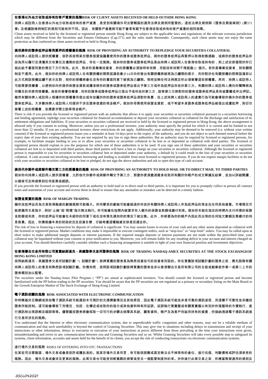#### 在香港以外地方收取或持有的客戶資產的風險**RISK OF CLIENT ASSETS RECEIVED OR HELD OUTSIDE HONG KONG**

持牌人或註冊人在香港以外地方收取或持有的客戶資產,是受到有關海外司法管轄區的適用法律及規例所監管的。這些法律及規例與《證券及期貨條例》(第571

#### 章) 及根據該條例制訂的規則可能有所不同。因此,有關客戶資產將可能不會享有賦予在香港收取或持有的客戶資產的相同保障。

Client assets received or held by the licensed or registered person outside Hong Kong are subject to the applicable laws and regulations of the relevant overseas jurisdiction which may be different from the Securities and Futures Ordinance (Cap.571) and the rules made thereunder. Consequently, such client assets may not enjoy the same protection as that conferred on client assets received or held in Hong Kong.

#### 提供將你的證券抵押品等再質押的授權書的風險 **RISK OF PROVIDING AN AUTHORITY TO REPLEDGE YOUR SECURITIES COLLATERAL**

向持牌人或註冊人提供授權書,容許其按照某份證券借貸協議書使用你的證券或證券抵押品、將你的證券抵押品再質押以取得財務通融,或將你的證券抵押品存 放為用以履行及清償其交收責任及債務的抵押品,存在一定風險。假如你的證券或證券抵押品是由持牌人或註冊人在香港收取或持有的,則上述安排僅限於你已 就此給予書面同意的情況下方行有效。此外,除非你是專業投資者,你的授權書必須指明有效期,而該段有效期不得超逾12 個月。若你是專業投資者,則有關限 制並不適用。此外,假如你的持牌人或註冊人在有關授權的期限屆滿前最少14日向你發出有關授權將被視為已續期的提示,而你對於在有關授權的限期屆滿前以 此方式將該授權延續不表示反對,則你的授權將會在沒有你的書面同意下被視為已續期。現時並無任何法例規定你必須簽署這些授權書。然而,持牌人或註冊人 可能需要授權書,以便例如向你提供保證金貸款或獲准將你的證券或證券抵押品借出予第三方或作為抵押品存放於第三方。有關持牌人或註冊人應向你闡釋將為 何種目的而使用授權書。倘若你簽署授權書,而你的證券或證券抵押品已借出予或存放於第三方,該等第三方將對你的證券或證券抵押品具有留置權或作出押記。 雖然有關持牌人或註冊人根據你的授權書而借出或存放屬於你的證券或證券抵押品須對你負責,但上述持牌人或註冊人的違責行為可能會導致你損失你的證券或 證券抵押品。大多數持牌人或註冊人均提供不涉及證券借貸的現金帳戶。假如你毋需使用保證金貸款,或不希望本身證券或證券抵押品被借出或遭抵押,則切勿

#### 簽署上述的授權書,並應要求開立該等現金帳戶。

There is risk if you provide the licensed or registered person with an authority that allows it to apply your securities or securities collateral pursuant to a securities borrowing and lending agreement, repledge your securities collateral for financial accommodation or deposit your securities collateral as collateral for the discharge and satisfaction of its settlement obligations and liabilities. If your securities or securities collateral are received or held by the licensed or registered person in Hong Kong, the above arrangement is allowed only if you consent in writing. Moreover, unless you are a professional investor, your authority must specify the period for which it is current and be limited to not more than 12 months. If you are a professional investor, these restrictions do not apply. Additionally, your authority may be deemed to be renewed (i.e. without your written consent) if the licensed or registered person issues you a reminder at least 14 days prior to the expiry of the authority, and you do not object to such deemed renewal before the expiry date of your then existing authority. You are not required by any law to sign these authorities. But an authority may be required by licensed or registered persons, for example, to facilitate margin lending to you or to allow your securities or securities collateral to be lent to or deposited as collateral with third parties. The licensed or registered person should explain to you the purposes for which one of these authorities is to be used. If you sign one of these authorities and your securities or securities collateral are lent to or deposited with third parties, those third parties will have a lien or charge on your securities or securities collateral. Although the licensed or registered person is responsible to you for securities or securities collateral lent or deposited under your authority, a default by it could result in the loss of your securities or securities collateral. A cash account not involving securities borrowing and lending is available from most licensed or registered persons. If you do not require margin facilities or do not wish your securities or securities collateral to be lent or pledged, do not sign the above authorities and ask to open this type of cash account.

### 提供代存郵件或將郵件轉交第三方的授權書的風險 **RISK OF PROVIDING AN AUTHORITY TO HOLD MAIL OR TO DIRECT MAIL TO THIRD PARTIES** 假如你向持牌人或註冊人提供授權書,允許他代存郵件或將郵件轉交予第三方,那麼你便須盡速親身收取所有關於你帳戶的成交單據及結單,並加以詳細閱讀, 以確保可及時偵察到任何差異或錯誤。

If you provide the licensed or registered person with an authority to hold mail or to direct mail to third parties, it is important for you to promptly collect in person all contract notes and statements of your account and review them in detail to ensure that any anomalies or mistakes can be detected in a timely fashion.

#### 保證金買賣的風險 **RISK OF MARGIN TRADING**

藉存放抵押品而為交易取得融資的虧損風險可能極大。你所蒙受的虧蝕可能會超過你存放於有關持牌人或註冊人作為抵押品的現金及任何其他資產。市場情況可 能使備用交易指示,例如"止蝕"或"限價"指示無法執行。你可能會在短間內被要求存入額外的保證金款額或繳付利息。假如你未能在指定的時間內支付所需的保證 金款額或利息,你的抵押品可能會在未經你的同意下或在沒有預先通知你的情況下被出售。此外,你將要為你的帳戶內因此而出現的任何短欠數額及需繳付的利 息負責。因此,你應根據本身的財政狀況及投資目標,仔細考慮這種融資安排是否適合你。

The risk of loss in financing a transaction by deposit of collateral is significant. You may sustain losses in excess of your cash and any other assets deposited as collateral with the licensed or registered person. Market conditions may make it impossible to execute contingent orders, such as "stop-loss" or "stop-limit" orders. You may be called upon at short notice to make additional margin deposits or interest payments. If the required margin deposits or interest payments are not made within the prescribed time, your collateral may be liquidated without your consent or prior notification to you. Moreover, you will remain liable for any resulting deficit in your account and interest charged on your account. You should therefore carefully consider whether such a financing arrangement is suitable in light of your own financial position and investment objectives.

#### 在香港聯合交易所有限公司買賣納斯達克-美國證券交易所證券的風險 **RISK OF TRADING NASDAQ-AMEX SECURITIES AT THE STOCK EXCHANGEOF HONG KONG LIMITED**

按照納斯達克-美國證券交易所試驗計劃 "( 試驗計劃") 掛牌買賣的證券是為熟悉投資技巧的投資者而設的。你在買賣該項試驗計劃的證券之前,應先諮詢有關 持牌人或註冊人的意見和熟悉該項試驗計劃。你應知悉,按照該項試驗計劃掛牌買賣的證券並非以香港聯合交易所有限公司的主板或創業板作第一或第二上市的

#### 證券類別加以監管。

The securities under the Nasdaq-Amex Pilot Program ( "PP") are aimed at sophisticated investors. You should consult the licensed or registered person and become familiarised with the PP before trading in the PP securities. You should be aware that the PP securities are not regulated as a primary or secondary listing on the Main Board or the Growth Enterprise Market of The Stock Exchange of Hong Kong Limited.

#### 電子通訊相關的風險 **RISK ASSOCIATED WITH ELECTRONIC COMMUNICATION**

你明瞭基於互聯網或其他電子通訊系統可能遇到未可預計的交通擠塞情況及其他原因,因此電子通訊系統可能並非是可靠的通訊途徑,而這種不可靠性並非國投 證券所能控制。這可能會導致下列情況,包括:在傳送或收取你的指示或其他資料時有所延誤、延誤執行賈賣盤或有關買賣盤以有別於你落盤時的市價執行、進 行通訊時出現誤解及錯誤等等。儘管國投證券將會採取一切可行的步驟去保障其系統、顧客資料、帳戶及為客戶利益而持有的資產,你接納透過電子通訊系統進 行交易所涉及的風險。

You understand that the Internet or other electronic communication system, due to unpredictable traffic congestion and other reasons, may not be a reliable medium of communication and that such unreliability is beyond the control of Gransing Securities. This may give rise to situations including delays in transmission and receipt of your instructions or other information, delays in execution or execution of your instructions at prices different from those prevailing at the time your instructions were given, misunderstanding and errors in any communication between you and Gransing Securities and so on. Whilst Gransing Securities will take every possible step to safeguard its systems, client information, accounts and assets held for the benefit of its clients, you accept the risk of conducting transactions via electronic communication systems.

#### 進行場外交易的風險 RISKS OF ENTERING INTO OTC TRANSACTIONS

在某些司法管豁區,場外交易或會是容許或獲批准的。就某宗場外交易而言,有可能很困難或甚至無法去平掉現有的倉位、進行估值、判斷價格或評估須承受的 風險。因此,場外交易或會涉及更高的風險。此等交易也可能受到較寬鬆的規管或受另一個監管制度所約束。於你進行此等交易之前,你應當熟習適用的規則及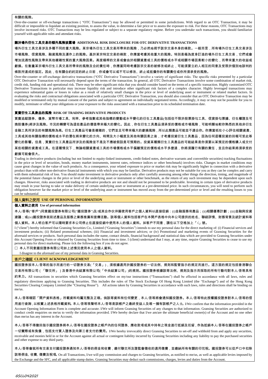#### 有關的風險。

Over-the-counter or off-exchange transactions ( "OTC Transactions") may be allowed or permitted in some jurisdictions. With regard to an OTC Transaction, it may be difficult or impossible to liquidate an existing position, to assess the value, to determine a fair price or to assess the exposure to risk. For these reasons, OTC Transactions may involve increased risks. OTC Transactions may be less regulated or subject to a separate regulatory regime. Before you undertake such transactions, you should familiarize yourself with applicable rules and attendant risks.

#### 關於場外衍生工具交易的額外風險披露場 **ADDITIONAL RISK DISCLOSURE FOR OTC DERIVATIVE TRANSACTIONS**

場外衍生工具交易涉及多種不同的重大風險。某宗場外衍生工具交易所帶來的風險,乃必然地視乎該宗交易本身的條款。一般而言,所有場外衍生工具交易涉及 市場風險、信貸風險、融資風險及運作上的風險。基於某宗特定交易的條款,你應當考慮其他重大的風險。特別是極為度身訂造的場外衍生工具交易,它們或會 增加流通性風險及帶來其他複雜性質的重大風險因素。高度槓桿的交易或會由於相關資產或工具的價格或水平或相關市場因素較小的變化,而帶來重大的收益或 虧損。在衡量某宗場外衍生工具交易所帶來的風險及合約責任時,你應當同時考慮該宗交易的被修改或終止,可能須要立約人相互的同意及受限於個別地談判的

條款所達成的協定。因此,在有關合約約定的終止日前,你或會可以或不可以修改、終止或抵償你的有關責任或你所須承受的風險。

Over-the-counter or off-exchange derivative transactions ("OTC Derivative Transactions") involve a variety of significant risks. The specific risks presented by a particular OTC Derivative Transaction will necessarily depend upon the terms of the transaction. In general, all OTC Derivative Transactions involve some combination of market risk, credit risk, funding risk and operational risk. There may be other significant risks that you should consider based on the terms of a specific transaction. Highly customized OTC Derivative Transactions in particular may increase liquidity risk and introduce other significant risk factors of a complex character. Highly leveraged transactions may experience substantial gains or losses in value as a result of relatively small changes in the price or level of underlying asset or instrument or related market factors. In evaluating the risks and contractual obligations associated with a particular OTC Derivative Transaction, you should also consider that an OTC Derivative Transaction may be modified or terminated only by mutual consent of the parties and subject to agreement on individually negotiated terms. Accordingly, it may or may not be possible for you to modify, terminate or offset your obligations or your exposure to the risks associated with a transaction prior to its scheduled termination date.

#### 買賣衍生工具產品的風險 **RISK OF TRADING DERIVATIVE PRODUCTS**

買賣追蹤證券、債券、貨幣市場工具、利率、參考指數或其他指標的變動或水平變化的衍生工具產品(包括但不限於股票掛勾工具、信貸掛勾票據、衍生權證及可 換股債券)將涉及風險。市況的轉變可為這些產品的價值帶來極大的變化。因此,你在衍生工具產品須承受的價格或市場風險,可能明顯地較你熟悉的其他非衍生 金融工具所涉及的有關風險為高。衍生工具產品可會是複雜的,它們並且可帶來極大的虧損風險,所以此類產品可能並不適合你。你應當祇在小心評估相關資產、 工具或其他有關指標的價格或水平的潛在將來變化的方向、時間及大小幅度及其他有關因素之後,才考慮投資衍生工具產品,因為任何這種投資的回報可受此等 變化的影響。但是,買賣衍生工具產品所涉及的風險並不是及不應被假設是可預期的。投資某種類衍生工具產品的可能結果是你須要以某預定的價格購入或交付 某些相關的資產或工具。在這種情況下,無論相關資產或工具的市場價格或水平偏離預定的價格或水平多麼遠,你將須履行有關的責任,並且你結果將須承受的

#### 虧損可能會很大。

Trading in derivative products (including but not limited to equity-linked instruments, credit-linked notes, derivative warrants and convertible securities) tracking fluctuations in the price or level of securities, bonds, money market instruments, interest rates, reference indices or other benchmark) involves risks. Changes in market conditions may cause great changes in the value of such products. As a consequence, your related exposure to price or market risk may be significantly higher in connection with a derivative product than with other non-derivative financial instruments with which you may be familiar. Derivative products may not be suitable for you as they can be complex and carry with them substantial risk of loss. You should make investment in derivative products only after carefully assessing among other things the direction, timing, and magnitude of the potential future changes in the price or level of the underlying asset or instrument or other benchmark, as the return of any such investment may be dependent upon such changes. However, risks associated with trading in derivative products are not and should not be presumed to be predictable. Investing in certain types of derivative products may result in your having to take or make delivery of certain underlying asset or instrument at a pre-determined price. In such circumstances, you will need to perform such obligation however far the market price or level of the underlying asset or instrument has moved away from the pre-determined price or level and the resulting losses to you can be substantial

#### 個人資料之使用 **USE OF PERSONAL INFORMATION**

#### 個人資料之使用 **Use of personal information**

本人/吾等("客戶")同意國投證券有限公司("國投證券")及/或其合作伙伴擬使用客戶之個人資料以直接促銷:(i)金融服務和產品;(ii)相關優惠計劃;(iii)金融與投資 建議;或(iv)國投證券就前述產品及服務之業務推廣和宣傳活動。該等個人資料包括客戶在本開戶表格中向本公司提供的姓名、聯絡詳情、財務背景及統計資料等

#### 個人資料。本人明白客戶可以隨時要求本公司停止在直接促銷中使用本人的個人資料。如客戶不同意,請在以下空格加上「√」號。

I ("client") hereby informed that Gransing Securities Co., Limited ("Gransing Securities") intends to use my personal data for the direct marketing of: (i) Financial services and investment products; (ii) Related promotional schemes; (iii) Financial and investment advices; or (iv) Promotional and marketing events of Gransing Securities for the aforesaid services or products. Such personal data includes the name, contact details, financial background and statistical data which are provided to Gransing Securities under this Account Opening Form or obtained by Gransing Securities from time to time. I (client) understand that I may, at any time, require Gransing Securities to cease to use my personal data for direct marketing. Please tick the following box if you do not agree.

本人不同意國投證券有限公司如上述情況使用本人之個人資料。

I disagree to the aforesaid use of my personal data in Gransing Securities.

#### 客戶之確認 **CLIENT ACKNOWLEDGEMENT**

國投證券按本人/吾等的指示而進行的一切證券交易(「交易」),須根據適用於國投證券的一切法例、規則和監管指示的規定而進行。這方面的規定包括香港聯合 交易所有限公司(「聯交所」)及香港中央結算有限公司(「中央結算公司」)的規則。國投證券根據該等法例、規則及指示而採取的所有行動均對本人/吾等具有

約束力。All transactions in securities which Gransing Securities effect on my/our instructions ("Transactions") shall be effected in accordance with all laws, rules and regulatory directions applying to Gransing Securities. This includes the rules of The Stock Exchange Of Hong Kong Limited (the "Exchange") and of the Hong Kong Securities Clearing Company Limited (the "Clearing House"). All actions taken by Gransing Securities in accordance with such laws, rules and directions shall be binding on me/us.

本人/吾等確認「開戶資料表格」所載資料均屬完整及正確。倘該等資料有任何變更,本人/吾等將會通知國投證券。本人/吾等特此授權國投證券對本人/吾等的信 用進行查詢,以核實上述表格所載資料。本人/吾等現聲明本人/吾等是該帳戶之最終受益人及唯一擁有該帳戶之人士。I/We confirm that the information provided in the Account Opening Information Form is complete and accurate. I/We will inform Gransing Securities of any changes to that information. Gransing Securities are authorized to conduct credit enquiries on me/us to verify the information provided. I/We hereby declare that I/we am/are the ultimate beneficial owner(s) of the Account and no one other than me/us has any interest in the Account.

本人/吾等不得撤回指示國投證券將本人/吾等在國投證券之帳戶內的任何證券、應收款項或其中持有之現金進行抵銷及扣留,作為抵銷本人/吾等在國投證券之帳戶 一切實際或有負債,包括支付買入證券及向第三者支付的費用。I/We hereby irrevocably direct Gransing Securities to set-off and withhold from and apply any securities, receivable and monies held in or for the Account against all actual or contingent liability incurred by Gransing Securities including any liability to pay the purchased securities and other expense to any third party.

本人/吾等會就所有交易支付國投證券通知本人/吾等的佣金和收費,繳付聯交所及證監會徵收的適用徵費,並繳納所有有關的印花稅。國投證券可以從戶口中扣除 該等佣金、收費、徵費及稅項。On all Transactions, I/we will pay commission and charges to Gransing Securities, as notified to me/us, as well as applicable levies imposed by the Exchange and the SFC, and all applicable stamp duties. Gransing Securities may deduct such commissions, charges, levies and duties from the Account.